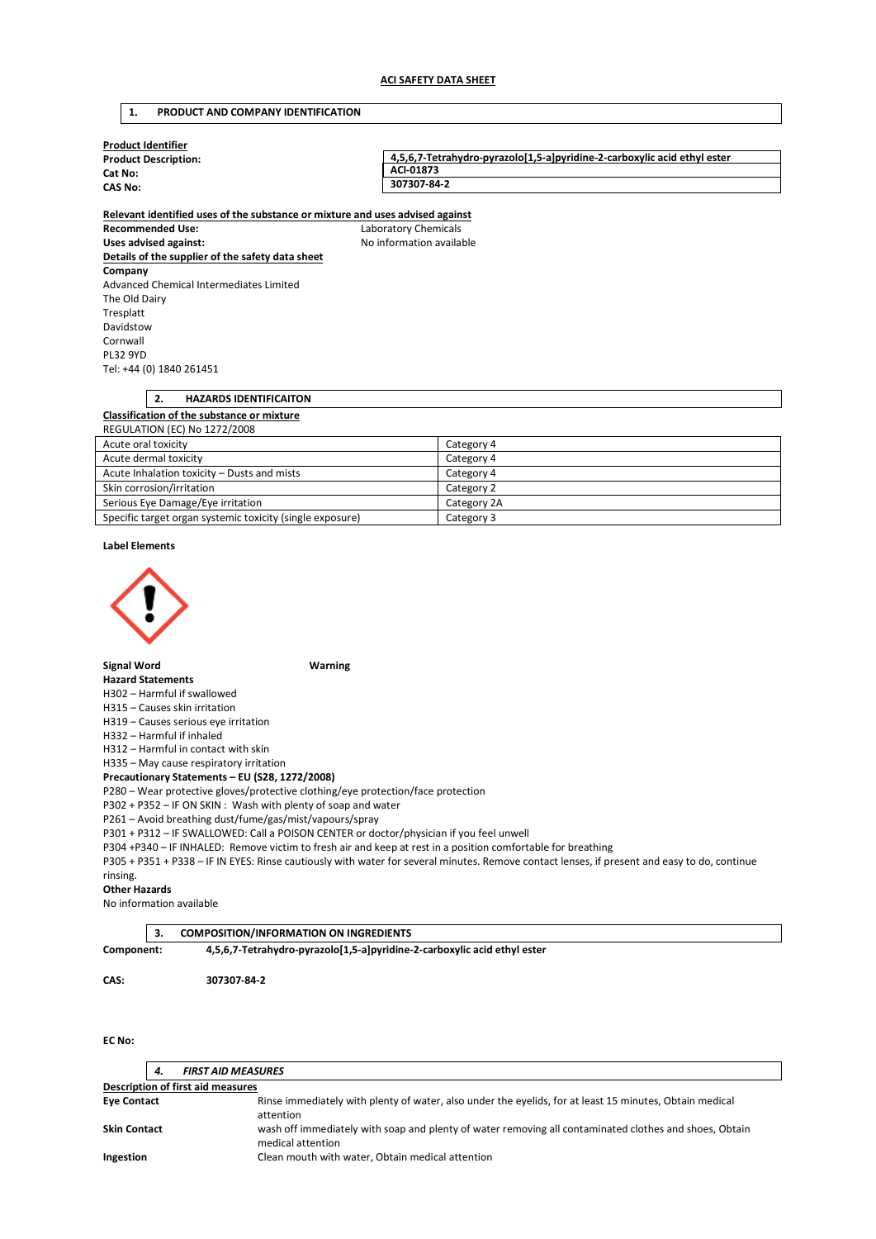# **1. PRODUCT AND COMPANY IDENTIFICATION**

| <b>Product Identifier</b>                                                     |                                                                          |  |  |  |  |
|-------------------------------------------------------------------------------|--------------------------------------------------------------------------|--|--|--|--|
| <b>Product Description:</b>                                                   | 4,5,6,7-Tetrahydro-pyrazolo[1,5-a]pyridine-2-carboxylic acid ethyl ester |  |  |  |  |
| Cat No:                                                                       | ACI-01873<br>307307-84-2                                                 |  |  |  |  |
| <b>CAS No:</b>                                                                |                                                                          |  |  |  |  |
| Relevant identified uses of the substance or mixture and uses advised against |                                                                          |  |  |  |  |
| <b>Recommended Use:</b>                                                       | Laboratory Chemicals                                                     |  |  |  |  |
| Uses advised against:                                                         | No information available                                                 |  |  |  |  |
| Details of the supplier of the safety data sheet                              |                                                                          |  |  |  |  |
| Company                                                                       |                                                                          |  |  |  |  |
| Advanced Chemical Intermediates Limited                                       |                                                                          |  |  |  |  |
| The Old Dairy                                                                 |                                                                          |  |  |  |  |
| Tresplatt                                                                     |                                                                          |  |  |  |  |
| Davidstow                                                                     |                                                                          |  |  |  |  |
| Cornwall                                                                      |                                                                          |  |  |  |  |
| <b>PL32 9YD</b>                                                               |                                                                          |  |  |  |  |
| Tel: +44 (0) 1840 261451                                                      |                                                                          |  |  |  |  |
|                                                                               |                                                                          |  |  |  |  |
| 2.<br><b>HAZARDS IDENTIFICAITON</b>                                           |                                                                          |  |  |  |  |
| Classification of the substance or mixture                                    |                                                                          |  |  |  |  |
| <b>REGULATION (EC) No 1272/2008</b>                                           |                                                                          |  |  |  |  |
| Acute oral toxicity                                                           | Category 4                                                               |  |  |  |  |
| Acute dermal toxicity                                                         | Category 4                                                               |  |  |  |  |
| Acute Inhalation toxicity - Dusts and mists                                   | Category 4                                                               |  |  |  |  |

### **Label Elements**



**Signal Word Warning** 

Skin corrosion/irritation Category 2 Serious Eye Damage/Eye irritation Category 2A Specific target organ systemic toxicity (single exposure) Category 3

### **Hazard Statements**

H302 – Harmful if swallowed

H315 – Causes skin irritation

H319 – Causes serious eye irritation

H332 – Harmful if inhaled

H312 – Harmful in contact with skin

H335 – May cause respiratory irritation

## **Precautionary Statements – EU (S28, 1272/2008)**

P280 – Wear protective gloves/protective clothing/eye protection/face protection

P302 + P352 – IF ON SKIN : Wash with plenty of soap and water

P261 – Avoid breathing dust/fume/gas/mist/vapours/spray

P301 + P312 – IF SWALLOWED: Call a POISON CENTER or doctor/physician if you feel unwell

P304 +P340 – IF INHALED: Remove victim to fresh air and keep at rest in a position comfortable for breathing

P305 + P351 + P338 – IF IN EYES: Rinse cautiously with water for several minutes. Remove contact lenses, if present and easy to do, continue rinsing.

### **Other Hazards**

No information available

|            | <b>COMPOSITION/INFORMATION ON INGREDIENTS</b>                            |
|------------|--------------------------------------------------------------------------|
| Component: | 4,5,6,7-Tetrahydro-pyrazolo[1,5-a]pyridine-2-carboxylic acid ethyl ester |
| CAS:       | 307307-84-2                                                              |

**EC No:** 

|                                   | 4. | <b>FIRST AID MEASURES</b>                                                                                                   |  |  |  |
|-----------------------------------|----|-----------------------------------------------------------------------------------------------------------------------------|--|--|--|
| Description of first aid measures |    |                                                                                                                             |  |  |  |
| <b>Eye Contact</b>                |    | Rinse immediately with plenty of water, also under the eyelids, for at least 15 minutes, Obtain medical<br>attention        |  |  |  |
| <b>Skin Contact</b>               |    | wash off immediately with soap and plenty of water removing all contaminated clothes and shoes, Obtain<br>medical attention |  |  |  |
| Ingestion                         |    | Clean mouth with water, Obtain medical attention                                                                            |  |  |  |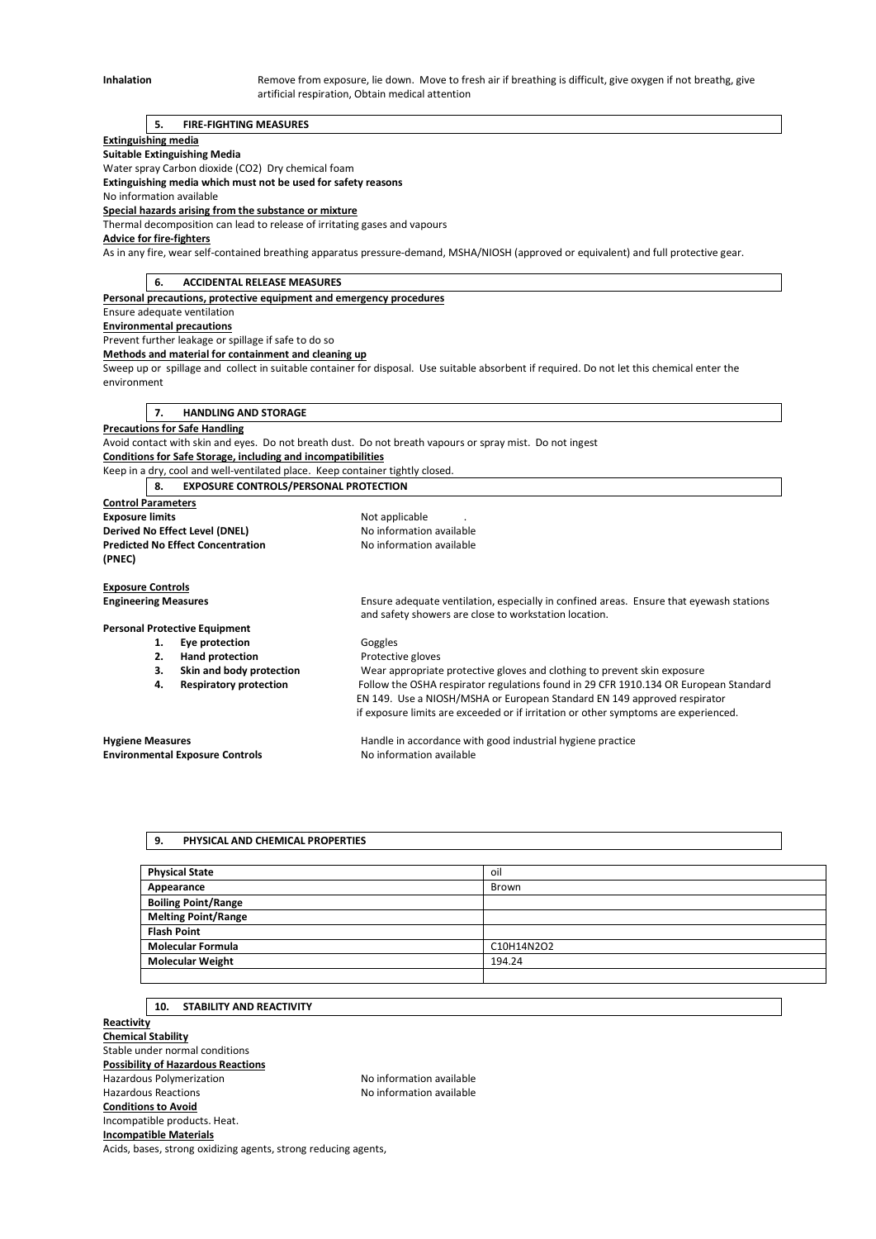**Inhalation** Remove from exposure, lie down. Move to fresh air if breathing is difficult, give oxygen if not breathg, give artificial respiration, Obtain medical attention

### **5. FIRE-FIGHTING MEASURES**

#### **Extinguishing media**

**Suitable Extinguishing Media** 

Water spray Carbon dioxide (CO2) Dry chemical foam

**Extinguishing media which must not be used for safety reasons** 

No information available **Special hazards arising from the substance or mixture** 

Thermal decomposition can lead to release of irritating gases and vapours

**Advice for fire-fighters** 

As in any fire, wear self-contained breathing apparatus pressure-demand, MSHA/NIOSH (approved or equivalent) and full protective gear.

**6. ACCIDENTAL RELEASE MEASURES** 

**Personal precautions, protective equipment and emergency procedures** 

Ensure adequate ventilation

**Environmental precautions** 

Prevent further leakage or spillage if safe to do so

**Methods and material for containment and cleaning up** 

Sweep up or spillage and collect in suitable container for disposal. Use suitable absorbent if required. Do not let this chemical enter the environment

**7. HANDLING AND STORAGE** 

## **Precautions for Safe Handling**

Avoid contact with skin and eyes. Do not breath dust. Do not breath vapours or spray mist. Do not ingest **Conditions for Safe Storage, including and incompatibilities** 

Keep in a dry, cool and well-ventilated place. Keep container tightly closed.

**8. EXPOSURE CONTROLS/PERSONAL PROTECTION** 

**Control Parameters Exposure limits Exposure limits Not applicable** . **Derived No Effect Level (DNEL)** No information available **Predicted No Effect Concentration** No information available **(PNEC)** 

**Exposure Controls Engineering Measures** Ensure adequate ventilation, especially in confined areas. Ensure that eyewash stations and safety showers are close to workstation location.

### **Personal Protective Equipment**

- 1. **Eye protection Goggles** 
	-

**2. Hand protection Protective gloves**<br> **3. Skin and body protection Wear appropriate 3. Skin and body protection** Wear appropriate protective gloves and clothing to prevent skin exposure **4. Respiratory protection** Follow the OSHA respirator regulations found in 29 CFR 1910.134 OR European Standard EN 149. Use a NIOSH/MSHA or European Standard EN 149 approved respirator if exposure limits are exceeded or if irritation or other symptoms are experienced.

**Environmental Exposure Controls No information available** 

**Hygiene Measures** Handle in accordance with good industrial hygiene practice

### **9. PHYSICAL AND CHEMICAL PROPERTIES**

| <b>Physical State</b>      | oil        |
|----------------------------|------------|
| Appearance                 | Brown      |
| <b>Boiling Point/Range</b> |            |
| <b>Melting Point/Range</b> |            |
| <b>Flash Point</b>         |            |
| <b>Molecular Formula</b>   | C10H14N2O2 |
| <b>Molecular Weight</b>    | 194.24     |
|                            |            |

### **10. STABILITY AND REACTIVITY**

**Reactivity** 

**Chemical Stability**  Stable under normal conditions **Possibility of Hazardous Reactions**  Hazardous Polymerization available No information available Hazardous Reactions **No information available Conditions to Avoid**  Incompatible products. Heat. **Incompatible Materials**  Acids, bases, strong oxidizing agents, strong reducing agents,